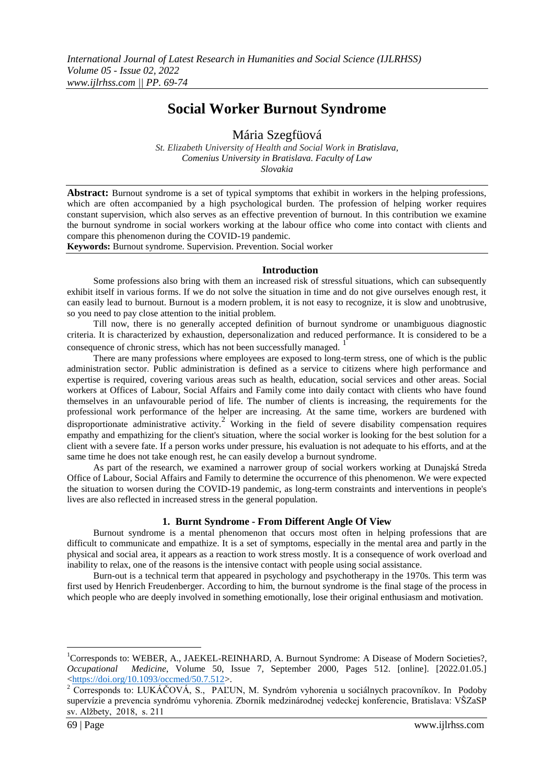# **Social Worker Burnout Syndrome**

Mária Szegfüová

*St. Elizabeth University of Health and Social Work in Bratislava, Comenius University in Bratislava. Faculty of Law Slovakia*

**Abstract:** Burnout syndrome is a set of typical symptoms that exhibit in workers in the helping professions, which are often accompanied by a high psychological burden. The profession of helping worker requires constant supervision, which also serves as an effective prevention of burnout. In this contribution we examine the burnout syndrome in social workers working at the labour office who come into contact with clients and compare this phenomenon during the COVID-19 pandemic.

**Keywords:** Burnout syndrome. Supervision. Prevention. Social worker

#### **Introduction**

Some professions also bring with them an increased risk of stressful situations, which can subsequently exhibit itself in various forms. If we do not solve the situation in time and do not give ourselves enough rest, it can easily lead to burnout. Burnout is a modern problem, it is not easy to recognize, it is slow and unobtrusive, so you need to pay close attention to the initial problem.

Till now, there is no generally accepted definition of burnout syndrome or unambiguous diagnostic criteria. It is characterized by exhaustion, depersonalization and reduced performance. It is considered to be a consequence of chronic stress, which has not been successfully managed.

There are many professions where employees are exposed to long-term stress, one of which is the public administration sector. Public administration is defined as a service to citizens where high performance and expertise is required, covering various areas such as health, education, social services and other areas. Social workers at Offices of Labour, Social Affairs and Family come into daily contact with clients who have found themselves in an unfavourable period of life. The number of clients is increasing, the requirements for the professional work performance of the helper are increasing. At the same time, workers are burdened with disproportionate administrative activity.<sup>2</sup> Working in the field of severe disability compensation requires empathy and empathizing for the client's situation, where the social worker is looking for the best solution for a client with a severe fate. If a person works under pressure, his evaluation is not adequate to his efforts, and at the same time he does not take enough rest, he can easily develop a burnout syndrome.

As part of the research, we examined a narrower group of social workers working at Dunajská Streda Office of Labour, Social Affairs and Family to determine the occurrence of this phenomenon. We were expected the situation to worsen during the COVID-19 pandemic, as long-term constraints and interventions in people's lives are also reflected in increased stress in the general population.

### **1. Burnt Syndrome - From Different Angle Of View**

Burnout syndrome is a mental phenomenon that occurs most often in helping professions that are difficult to communicate and empathize. It is a set of symptoms, especially in the mental area and partly in the physical and social area, it appears as a reaction to work stress mostly. It is a consequence of work overload and inability to relax, one of the reasons is the intensive contact with people using social assistance.

Burn-out is a technical term that appeared in psychology and psychotherapy in the 1970s. This term was first used by Henrich Freudenberger. According to him, the burnout syndrome is the final stage of the process in which people who are deeply involved in something emotionally, lose their original enthusiasm and motivation.

<sup>&</sup>lt;sup>1</sup>Corresponds to: WEBER, A., JAEKEL-REINHARD, A. Burnout Syndrome: A Disease of Modern Societies?, *Occupational Medicine*, Volume 50, Issue 7, September 2000, Pages 512. [online]. [2022.01.05.] [<https://d](https://doi.org/10.1093/occmed/50.7.512)o[i.o](https://doi.org/10.1093/occmed/50.7.512)r[g/10.1093/o](https://doi.org/10.1093/occmed/50.7.512)ccme[d/50.7.512>](https://doi.org/10.1093/occmed/50.7.512).

 $2^2$  Corresponds to: LUKÁČOVÁ, S., PAĽUN, M. Syndróm vyhorenia u sociálnych pracovníkov. In Podoby supervízie a prevencia syndrómu vyhorenia. Zborník medzinárodnej vedeckej konferencie, Bratislava: VŠZaSP sv. Alžbety, 2018, s. 211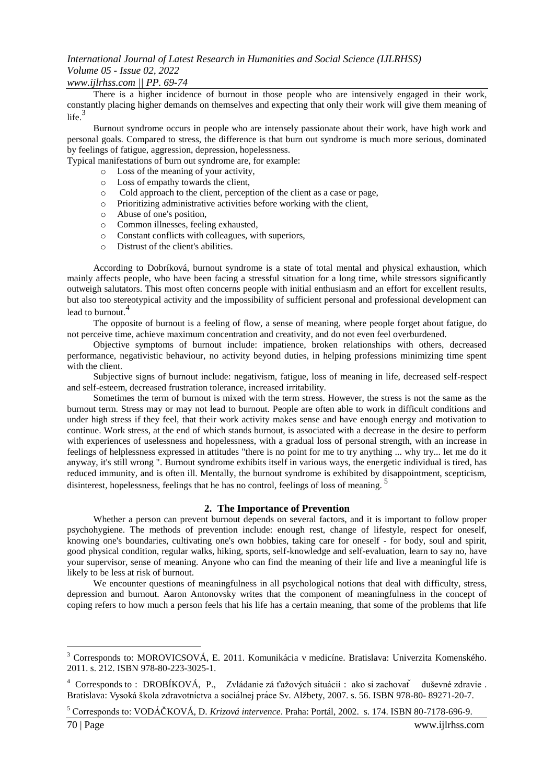### *www.ijlrhss.com || PP. 69-74*

There is a higher incidence of burnout in those people who are intensively engaged in their work, constantly placing higher demands on themselves and expecting that only their work will give them meaning of  $life.<sup>3</sup>$ 

Burnout syndrome occurs in people who are intensely passionate about their work, have high work and personal goals. Compared to stress, the difference is that burn out syndrome is much more serious, dominated by feelings of fatigue, aggression, depression, hopelessness.

Typical manifestations of burn out syndrome are, for example:

- o Loss of the meaning of your activity,
- o Loss of empathy towards the client,
- o Cold approach to the client, perception of the client as a case or page,
- o Prioritizing administrative activities before working with the client,
- o Abuse of one's position,
- o Common illnesses, feeling exhausted,
- o Constant conflicts with colleagues, with superiors,
- o Distrust of the client's abilities.

According to Dobríková, burnout syndrome is a state of total mental and physical exhaustion, which mainly affects people, who have been facing a stressful situation for a long time, while stressors significantly outweigh salutators. This most often concerns people with initial enthusiasm and an effort for excellent results, but also too stereotypical activity and the impossibility of sufficient personal and professional development can lead to burnout.<sup>4</sup>

The opposite of burnout is a feeling of flow, a sense of meaning, where people forget about fatigue, do not perceive time, achieve maximum concentration and creativity, and do not even feel overburdened.

Objective symptoms of burnout include: impatience, broken relationships with others, decreased performance, negativistic behaviour, no activity beyond duties, in helping professions minimizing time spent with the client.

Subjective signs of burnout include: negativism, fatigue, loss of meaning in life, decreased self-respect and self-esteem, decreased frustration tolerance, increased irritability.

Sometimes the term of burnout is mixed with the term stress. However, the stress is not the same as the burnout term. Stress may or may not lead to burnout. People are often able to work in difficult conditions and under high stress if they feel, that their work activity makes sense and have enough energy and motivation to continue. Work stress, at the end of which stands burnout, is associated with a decrease in the desire to perform with experiences of uselessness and hopelessness, with a gradual loss of personal strength, with an increase in feelings of helplessness expressed in attitudes "there is no point for me to try anything ... why try... let me do it anyway, it's still wrong ". Burnout syndrome exhibits itself in various ways, the energetic individual is tired, has reduced immunity, and is often ill. Mentally, the burnout syndrome is exhibited by disappointment, scepticism, disinterest, hopelessness, feelings that he has no control, feelings of loss of meaning.<sup>5</sup>

### **2. The Importance of Prevention**

Whether a person can prevent burnout depends on several factors, and it is important to follow proper psychohygiene. The methods of prevention include: enough rest, change of lifestyle, respect for oneself, knowing one's boundaries, cultivating one's own hobbies, taking care for oneself - for body, soul and spirit, good physical condition, regular walks, hiking, sports, self-knowledge and self-evaluation, learn to say no, have your supervisor, sense of meaning. Anyone who can find the meaning of their life and live a meaningful life is likely to be less at risk of burnout.

We encounter questions of meaningfulness in all psychological notions that deal with difficulty, stress, depression and burnout. Aaron Antonovsky writes that the component of meaningfulness in the concept of coping refers to how much a person feels that his life has a certain meaning, that some of the problems that life

<sup>3</sup> Corresponds to: MOROVICSOVÁ, E. 2011. Komunikácia v medicíne. Bratislava: Univerzita Komenského. 2011. s. 212. ISBN 978-80-223-3025-1.

<sup>&</sup>lt;sup>4</sup> Corresponds to : DROBÍKOVÁ, P., Zvládanie zá ťažových situácií : ako si zachovať duševné zdravie . Bratislava: Vysoká škola zdravotníctva a sociá lnej práce Sv. Alžbety, 2007. s. 56. ISBN 978-80- 89271-20-7.

<sup>5</sup> Corresponds to: VODÁČKOVÁ, D. *Krizová intervence*. Praha: Portál, 2002. s. 174. ISBN 80-7178-696-9.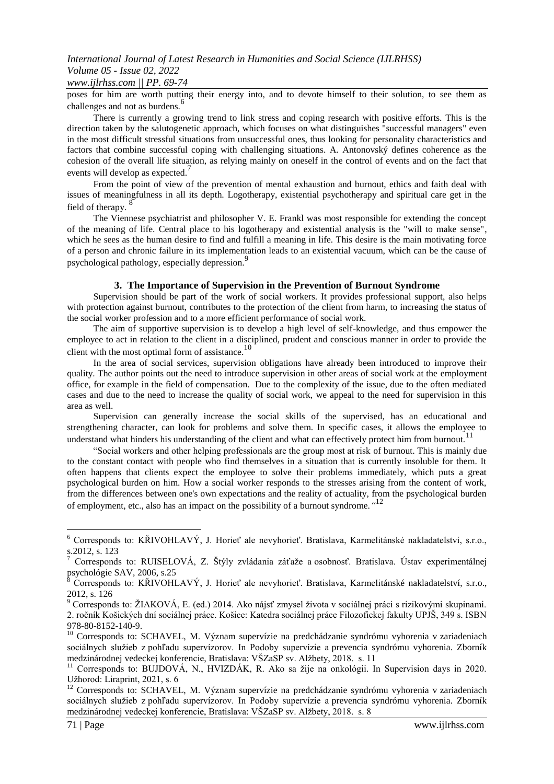## *www.ijlrhss.com || PP. 69-74*

poses for him are worth putting their energy into, and to devote himself to their solution, to see them as challenges and not as burdens.<sup>6</sup>

There is currently a growing trend to link stress and coping research with positive efforts. This is the direction taken by the salutogenetic approach, which focuses on what distinguishes "successful managers" even in the most difficult stressful situations from unsuccessful ones, thus looking for personality characteristics and factors that combine successful coping with challenging situations. A. Antonovský defines coherence as the cohesion of the overall life situation, as relying mainly on oneself in the control of events and on the fact that events will develop as expected.

From the point of view of the prevention of mental exhaustion and burnout, ethics and faith deal with issues of meaningfulness in all its depth. Logotherapy, existential psychotherapy and spiritual care get in the field of therapy. $\frac{8}{3}$ 

The Viennese psychiatrist and philosopher V. E. Frankl was most responsible for extending the concept of the meaning of life. Central place to his logotherapy and existential analysis is the "will to make sense", which he sees as the human desire to find and fulfill a meaning in life. This desire is the main motivating force of a person and chronic failure in its implementation leads to an existential vacuum, which can be the cause of psychological pathology, especially depression.<sup>9</sup>

### **3. The Importance of Supervision in the Prevention of Burnout Syndrome**

Supervision should be part of the work of social workers. It provides professional support, also helps with protection against burnout, contributes to the protection of the client from harm, to increasing the status of the social worker profession and to a more efficient performance of social work.

The aim of supportive supervision is to develop a high level of self-knowledge, and thus empower the employee to act in relation to the client in a disciplined, prudent and conscious manner in order to provide the client with the most optimal form of assistance.<sup>10</sup>

In the area of social services, supervision obligations have already been introduced to improve their quality. The author points out the need to introduce supervision in other areas of social work at the employment office, for example in the field of compensation. Due to the complexity of the issue, due to the often mediated cases and due to the need to increase the quality of social work, we appeal to the need for supervision in this area as well.

Supervision can generally increase the social skills of the supervised, has an educational and strengthening character, can look for problems and solve them. In specific cases, it allows the employee to understand what hinders his understanding of the client and what can effectively protect him from burnout.<sup>11</sup>

"Social workers and other helping professionals are the group most at risk of burnout. This is mainly due to the constant contact with people who find themselves in a situation that is currently insoluble for them. It often happens that clients expect the employee to solve their problems immediately, which puts a great psychological burden on him. How a social worker responds to the stresses arising from the content of work, from the differences between one's own expectations and the reality of actuality, from the psychological burden of employment, etc., also has an impact on the possibility of a burnout syndrome.*"* 12

<sup>6</sup> Corresponds to: KŘIVOHLAVÝ, J. Horieť ale nevyhorieť. Bratislava, Karmelitánské nakladatelství, s.r.o.,  $\frac{1}{2}$ , 2012, s. 123

<sup>7</sup> Corresponds to: RUISELOVÁ, Z. Štýly zvládania záťaže a osobnosť. Bratislava. Ústav experimentálnej psychológie SAV, 2006, s.25

<sup>8</sup> Corresponds to: KŘIVOHLAVÝ, J. Horieť ale nevyhorieť. Bratislava, Karmelitánské nakladatelství, s.r.o., 2012, s. 126

<sup>9</sup> Corresponds to: ŽIAKOVÁ, E. (ed.) 2014. Ako nájsť zmysel života v sociálnej práci s rizikovými skupinami. 2. ročník Košických dní sociálnej práce. Košice: Katedra sociálnej práce Filozofickej fakulty UPJŠ, 349 s. ISBN 978-80-8152-140-9.

<sup>&</sup>lt;sup>10</sup> Corresponds to: SCHAVEL, M. Význam supervízie na predchádzanie syndrómu vyhorenia v zariadeniach sociálnych služieb z pohľadu supervízorov. In Podoby supervízie a prevencia syndrómu vyhorenia. Zborník medzinárodnej vedeckej konferencie, Bratislava: VŠZaSP sv. Alžbety, 2018. s. 11

<sup>&</sup>lt;sup>11</sup> Corresponds to: BUJDOVÁ, N., HVIZDÁK, R. Ako sa žije na onkológii. In Supervision days in 2020. Užhorod: Liraprint, 2021, s. 6

<sup>&</sup>lt;sup>12</sup> Corresponds to: SCHAVEL, M. Význam supervízie na predchádzanie syndrómu vyhorenia v zariadeniach sociálnych služieb z pohľadu supervízorov. In Podoby supervízie a prevencia syndrómu vyhorenia. Zborník medzinárodnej vedeckej konferencie, Bratislava: VŠZaSP sv. Alžbety, 2018. s. 8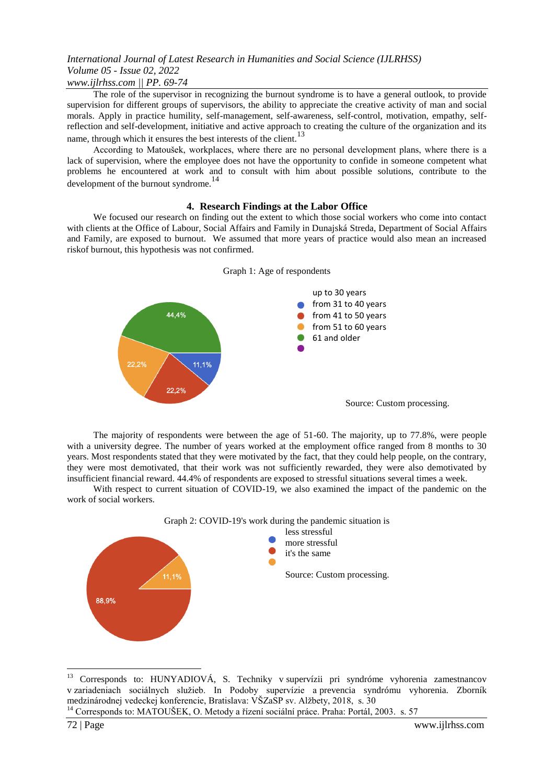## *www.ijlrhss.com || PP. 69-74*

The role of the supervisor in recognizing the burnout syndrome is to have a general outlook, to provide supervision for different groups of supervisors, the ability to appreciate the creative activity of man and social morals. Apply in practice humility, self-management, self-awareness, self-control, motivation, empathy, selfreflection and self-development, initiative and active approach to creating the culture of the organization and its name, through which it ensures the best interests of the client.<sup>13</sup>

According to Matoušek, workplaces, where there are no personal development plans, where there is a lack of supervision, where the employee does not have the opportunity to confide in someone competent what problems he encountered at work and to consult with him about possible solutions, contribute to the development of the burnout syndrome.<sup>14</sup>

### **4. Research Findings at the Labor Office**

We focused our research on finding out the extent to which those social workers who come into contact with clients at the Office of Labour, Social Affairs and Family in Dunajská Streda, Department of Social Affairs and Family, are exposed to burnout. We assumed that more years of practice would also mean an increased riskof burnout, this hypothesis was not confirmed.



Graph 1: Age of respondents

The majority of respondents were between the age of 51-60. The majority, up to 77.8%, were people with a university degree. The number of years worked at the employment office ranged from 8 months to 30 years. Most respondents stated that they were motivated by the fact, that they could help people, on the contrary, they were most demotivated, that their work was not sufficiently rewarded, they were also demotivated by insufficient financial reward. 44.4% of respondents are exposed to stressful situations several times a week.

With respect to current situation of COVID-19, we also examined the impact of the pandemic on the work of social workers.



<sup>13</sup> Corresponds to: HUNYADIOVÁ, S. Techniky v supervízii pri syndróme vyhorenia zamestnancov v zariadeniach sociálnych služieb. In Podoby supervízie a prevencia syndrómu vyhorenia. Zborník medzinárodnej vedeckej konferencie, Bratislava: VŠZaSP sv. Alžbety, 2018, s. 30

<sup>&</sup>lt;sup>14</sup> Corresponds to: MATOUŠEK, O. Metody a řízení sociální práce. Praha: Portál, 2003. s. 57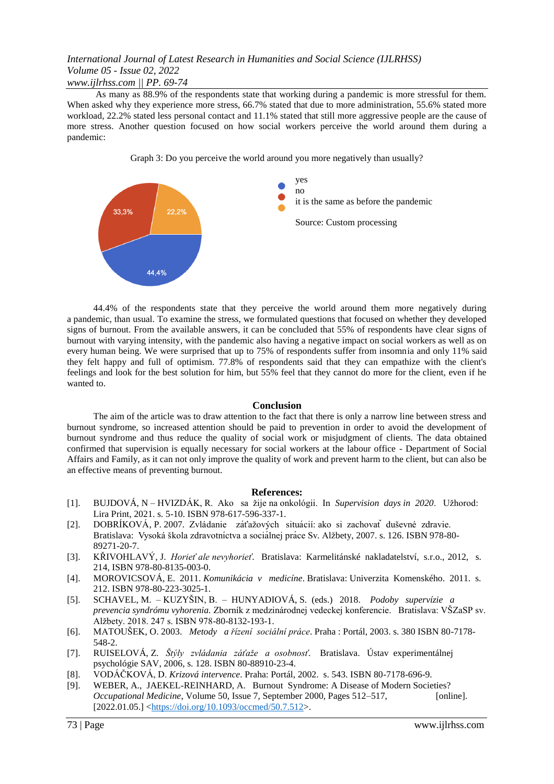## *www.ijlrhss.com || PP. 69-74*

As many as 88.9% of the respondents state that working during a pandemic is more stressful for them. When asked why they experience more stress, 66.7% stated that due to more administration, 55.6% stated more workload, 22.2% stated less personal contact and 11.1% stated that still more aggressive people are the cause of more stress. Another question focused on how social workers perceive the world around them during a pandemic:

Graph 3: Do you perceive the world around you more negatively than usually?



44.4% of the respondents state that they perceive the world around them more negatively during a pandemic, than usual. To examine the stress, we formulated questions that focused on whether they developed signs of burnout. From the available answers, it can be concluded that 55% of respondents have clear signs of burnout with varying intensity, with the pandemic also having a negative impact on social workers as well as on every human being. We were surprised that up to 75% of respondents suffer from insomnia and only 11% said they felt happy and full of optimism. 77.8% of respondents said that they can empathize with the client's feelings and look for the best solution for him, but 55% feel that they cannot do more for the client, even if he wanted to.

### **Conclusion**

The aim of the article was to draw attention to the fact that there is only a narrow line between stress and burnout syndrome, so increased attention should be paid to prevention in order to avoid the development of burnout syndrome and thus reduce the quality of social work or misjudgment of clients. The data obtained confirmed that supervision is equally necessary for social workers at the labour office - Department of Social Affairs and Family, as it can not only improve the quality of work and prevent harm to the client, but can also be an effective means of preventing burnout.

### **References:**

- [1]. BUJDOVÁ, N HVIZDÁK, R. Ako sa žije na onkológii. In *Supervision days in 2020*. Užhorod: Lira Print, 2021. s. 5-10. ISBN 978-617-596-337-1.
- [2]. DOBRÍKOVÁ, P. 2007. Zvládanie záťažových situácií: ako si zachovat ̌ duševné zdravie. Bratislava: Vysoká škola zdravotníctva a sociá lnej práce Sv. Alžbety, 2007. s. 126. ISBN 978-80- 89271-20-7.
- [3]. KŘIVOHLAVÝ, J. *Horieť ale nevyhorieť*. Bratislava: Karmelitánské nakladatelství, s.r.o., 2012, s. 214, ISBN 978-80-8135-003-0.
- [4]. MOROVICSOVÁ, E. 2011. *Komunikácia v medicíne*. Bratislava: Univerzita Komenského. 2011. s. 212. ISBN 978-80-223-3025-1.
- [5]. SCHAVEL, M. KUZYŠIN, B. HUNYADIOVÁ, S. (eds.) 2018. *Podoby supervízie a prevencia syndrómu vyhorenia.* Zborník z medzinárodnej vedeckej konferencie. Bratislava: VŠZaSP sv. Alžbety. 2018. 247 s. ISBN 978-80-8132-193-1.
- [6]. MATOUŠEK, O. 2003. *Metody a řízení sociální práce*. Praha : Portál, 2003. s. 380 ISBN 80-7178- 548-2.
- [7]. RUISELOVÁ, Z. *Štýly zvládania záťaže a osobnosť*. Bratislava. Ústav experimentálnej psychológie SAV, 2006, s. 128. ISBN 80-88910-23-4.
- [8]. VODÁČKOVÁ, D. *Krizová intervence*. Praha: Portál, 2002. s. 543. ISBN 80-7178-696-9.
- [9]. WEBER, A., JAEKEL-REINHARD, A. Burnout Syndrome: A Disease of Modern Societies? *Occupational Medicine*, Volume 50, Issue 7, September 2000, Pages 512–517, [online]. [2022.01.05.] [<https://d](https://doi.org/10.1093/occmed/50.7.512)o[i.o](https://doi.org/10.1093/occmed/50.7.512)r[g/10.1093/o](https://doi.org/10.1093/occmed/50.7.512)ccme[d/50.7.512>](https://doi.org/10.1093/occmed/50.7.512).